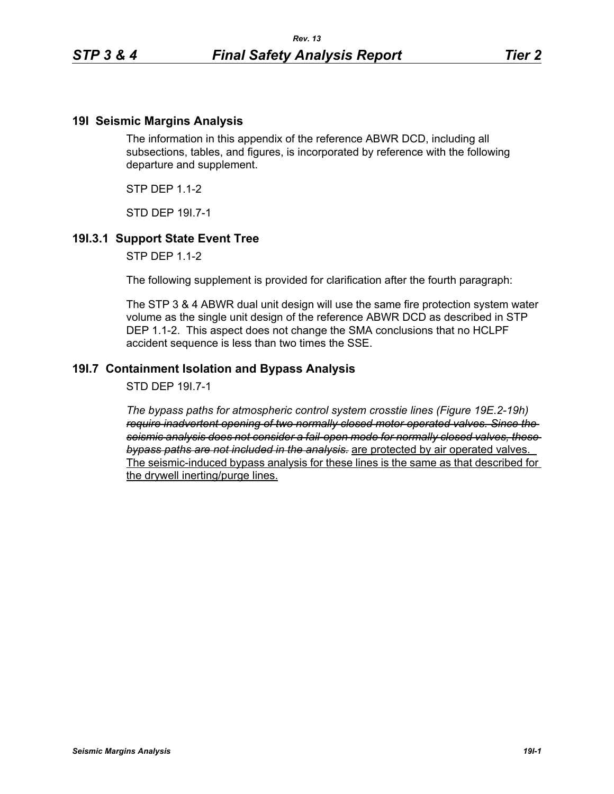## **19I Seismic Margins Analysis**

The information in this appendix of the reference ABWR DCD, including all subsections, tables, and figures, is incorporated by reference with the following departure and supplement.

 $STP$  DFP 11-2

STD DEP 19I.7-1

## **19I.3.1 Support State Event Tree**

STP DEP 1.1-2

The following supplement is provided for clarification after the fourth paragraph:

The STP 3 & 4 ABWR dual unit design will use the same fire protection system water volume as the single unit design of the reference ABWR DCD as described in STP DEP 1.1-2. This aspect does not change the SMA conclusions that no HCLPF accident sequence is less than two times the SSE.

## **19I.7 Containment Isolation and Bypass Analysis**

STD DEP 19I.7-1

*The bypass paths for atmospheric control system crosstie lines (Figure 19E.2-19h) require inadvertent opening of two normally closed motor operated valves. Since the seismic analysis does not consider a fail-open mode for normally closed valves, these bypass paths are not included in the analysis.* are protected by air operated valves. The seismic-induced bypass analysis for these lines is the same as that described for the drywell inerting/purge lines.